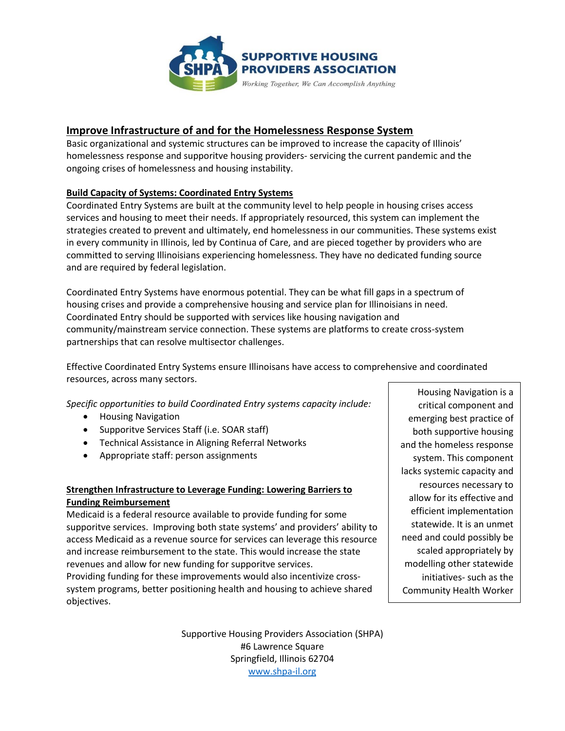

# **Improve Infrastructure of and for the Homelessness Response System**

Basic organizational and systemic structures can be improved to increase the capacity of Illinois' homelessness response and supporitve housing providers- servicing the current pandemic and the ongoing crises of homelessness and housing instability.

### **Build Capacity of Systems: Coordinated Entry Systems**

Coordinated Entry Systems are built at the community level to help people in housing crises access services and housing to meet their needs. If appropriately resourced, this system can implement the strategies created to prevent and ultimately, end homelessness in our communities. These systems exist in every community in Illinois, led by Continua of Care, and are pieced together by providers who are committed to serving Illinoisians experiencing homelessness. They have no dedicated funding source and are required by federal legislation.

Coordinated Entry Systems have enormous potential. They can be what fill gaps in a spectrum of housing crises and provide a comprehensive housing and service plan for Illinoisians in need. Coordinated Entry should be supported with services like housing navigation and community/mainstream service connection. These systems are platforms to create cross-system partnerships that can resolve multisector challenges.

Effective Coordinated Entry Systems ensure Illinoisans have access to comprehensive and coordinated resources, across many sectors.

*Specific opportunities to build Coordinated Entry systems capacity include:* 

- Housing Navigation
- Supporitve Services Staff (i.e. SOAR staff)
- Technical Assistance in Aligning Referral Networks
- Appropriate staff: person assignments

## **Strengthen Infrastructure to Leverage Funding: Lowering Barriers to Funding Reimbursement**

Medicaid is a federal resource available to provide funding for some supporitve services. Improving both state systems' and providers' ability to access Medicaid as a revenue source for services can leverage this resource and increase reimbursement to the state. This would increase the state revenues and allow for new funding for supporitve services.

Providing funding for these improvements would also incentivize crosssystem programs, better positioning health and housing to achieve shared objectives.

Housing Navigation is a critical component and emerging best practice of both supportive housing and the homeless response system. This component lacks systemic capacity and resources necessary to allow for its effective and efficient implementation statewide. It is an unmet need and could possibly be scaled appropriately by modelling other statewide initiatives- such as the Community Health Worker

Program

Supportive Housing Providers Association (SHPA) #6 Lawrence Square Springfield, Illinois 62704 [www.shpa-il.org](http://www.shpa-il.org/)